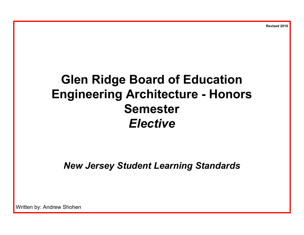**Revised 2019**

# **Glen Ridge Board of Education Engineering Architecture - Honors Semester** *Elective*

*New Jersey Student Learning Standards*

Written by: Andrew Shohen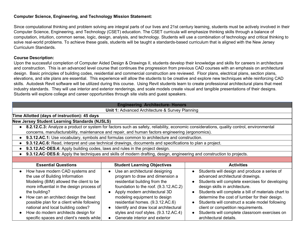#### **Computer Science, Engineering, and Technology Mission Statement:**

Since computational thinking and problem solving are integral parts of our lives and 21st century learning, students must be actively involved in their Computer Science, Engineering, and Technology (CSET) education. The CSET curricula will emphasize thinking skills through a balance of computation, intuition, common sense, logic, design, analysis, and technology. Students will use a combination of technology and critical thinking to solve real-world problems. To achieve these goals, students will be taught a standards-based curriculum that is aligned with the New Jersey Curriculum Standards.

#### **Course Description:**

Upon the successful completion of Computer Aided Design & Drawings II, students develop their knowledge and skills for careers in architecture and construction. This is an advanced level course that continues the progression from previous CAD courses with an emphasis on architectural design. Basic principles of building codes, residential and commercial construction are reviewed. Floor plans, electrical plans, section plans, elevations, and site plans are essential. This experience will allow the students to be creative and explore new techniques while reinforcing CAD skills. Autodesk Revit software will be utilized during this course. Using Revit students learn to create professional architectural plans that meet industry standards. They will use interior and exterior renderings, and scale models create visual and tangible presentations of their designs. Students will explore college and career opportunities through site visits and guest speakers.

| <b>Engineering Architecture- Honors</b>                                                                                                                                                                                                                                                                                                                                                                 |                                                                                                                                                                                                                                                                                                                                                                      |                                                                                                                                                                                                                                                                                                                                                                                                                                                                               |  |
|---------------------------------------------------------------------------------------------------------------------------------------------------------------------------------------------------------------------------------------------------------------------------------------------------------------------------------------------------------------------------------------------------------|----------------------------------------------------------------------------------------------------------------------------------------------------------------------------------------------------------------------------------------------------------------------------------------------------------------------------------------------------------------------|-------------------------------------------------------------------------------------------------------------------------------------------------------------------------------------------------------------------------------------------------------------------------------------------------------------------------------------------------------------------------------------------------------------------------------------------------------------------------------|--|
|                                                                                                                                                                                                                                                                                                                                                                                                         | Unit 1: Advanced Architecture & Survey Planning                                                                                                                                                                                                                                                                                                                      |                                                                                                                                                                                                                                                                                                                                                                                                                                                                               |  |
| Time Allotted (days of instruction): 45 days                                                                                                                                                                                                                                                                                                                                                            |                                                                                                                                                                                                                                                                                                                                                                      |                                                                                                                                                                                                                                                                                                                                                                                                                                                                               |  |
| New Jersey Student Learning Standards (NJSLS)                                                                                                                                                                                                                                                                                                                                                           |                                                                                                                                                                                                                                                                                                                                                                      |                                                                                                                                                                                                                                                                                                                                                                                                                                                                               |  |
|                                                                                                                                                                                                                                                                                                                                                                                                         |                                                                                                                                                                                                                                                                                                                                                                      | 8.2.12.C.3: Analyze a product or system for factors such as safety, reliability, economic considerations, quality control, environmental                                                                                                                                                                                                                                                                                                                                      |  |
|                                                                                                                                                                                                                                                                                                                                                                                                         | concerns, manufacturability, maintenance and repair, and human factors engineering (ergonomics).                                                                                                                                                                                                                                                                     |                                                                                                                                                                                                                                                                                                                                                                                                                                                                               |  |
| $\bullet$                                                                                                                                                                                                                                                                                                                                                                                               | 9.3.12.AC.1: Use vocabulary, symbols and formulas common to architecture and construction.                                                                                                                                                                                                                                                                           |                                                                                                                                                                                                                                                                                                                                                                                                                                                                               |  |
|                                                                                                                                                                                                                                                                                                                                                                                                         | 9.3.12.AC.6: Read, interpret and use technical drawings, documents and specifications to plan a project.                                                                                                                                                                                                                                                             |                                                                                                                                                                                                                                                                                                                                                                                                                                                                               |  |
| 9.3.12.AC-DES.4: Apply building codes, laws and rules in the project design.<br>$\bullet$                                                                                                                                                                                                                                                                                                               |                                                                                                                                                                                                                                                                                                                                                                      |                                                                                                                                                                                                                                                                                                                                                                                                                                                                               |  |
| • 9.3.12.AC-DES.6: Apply the techniques and skills of modern drafting, design, engineering and construction to projects.                                                                                                                                                                                                                                                                                |                                                                                                                                                                                                                                                                                                                                                                      |                                                                                                                                                                                                                                                                                                                                                                                                                                                                               |  |
|                                                                                                                                                                                                                                                                                                                                                                                                         |                                                                                                                                                                                                                                                                                                                                                                      |                                                                                                                                                                                                                                                                                                                                                                                                                                                                               |  |
| <b>Essential Questions</b>                                                                                                                                                                                                                                                                                                                                                                              | <b>Student Learning Objectives</b>                                                                                                                                                                                                                                                                                                                                   | <b>Activities</b>                                                                                                                                                                                                                                                                                                                                                                                                                                                             |  |
| How have modern CAD systems and<br>$\bullet$<br>the use of Building Information<br>Modeling (BIM) allowed the client to be<br>more influential in the design process of<br>the building?<br>How can an architect design the best<br>possible plan for a client while following<br>national and local building codes?<br>How do modern architects design for<br>specific spaces and client's needs while | Use an architectural designing<br>program to draw and dimension a<br>residential building from the<br>foundation to the roof. (9.3.12.AC.2)<br>Apply modern architectural 3D<br>modeling equipment to design<br>residential homes. (9.3.12.AC.6)<br>Identify and draw local architectural<br>styles and roof styles. (9.3.12.AC.4)<br>Generate interior and exterior | Students will design and produce a series of<br>advanced architectural drawings.<br>Students will complete exercises for developing<br>design skills in architecture.<br>Students will complete a bill of materials chart to<br>determine the cost of lumber for their design.<br>Students will construct a scale model following<br>$\bullet$<br>client or competition requirements.<br>Students will complete classroom exercises on<br>$\bullet$<br>architectural details. |  |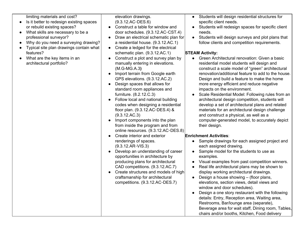limiting materials and cost?

- Is it better to redesign existing spaces or rebuild existing spaces?
- What skills are necessary to be a professional surveyor?
- Why do you need a surveying drawing?
- Typical site plan drawings contain what features?
- What are the key items in an architectural portfolio?

elevation drawings. (9.3.12.AC-DES.6)

- Construct a table for window and door schedules. (9.3.12.AC-CST.4)
- Draw an electrical schematic plan for a residential house. (9.3.12.AC.1)
- Create a ledged for the electrical schematic plan. (9.3.12.AC.1)
- Construct a plot and survey plan by manually entering in elevations. (M.G-MG.A.3**)**
- Import terrain from Google earth GPS elevations. (9.3.12.AC.2)
- Design spaces that allows for standard room appliances and furniture. (8.2.12.C.3)
- Follow local and national building codes when designing a residential floor plan. (9.3.12.AC-DES.4) & (9.3.12.AC.3)
- Import components into the plan from inside the program and from online resources. (9.3.12.AC-DES.8)
- Create interior and exterior renderings of spaces. (9.3.12.AR-VIS.3)
- Develop an understanding of career opportunities in architecture by producing plans for architectural CAD competitions. (9.3.12.AC.7)
- Create structures and models of high craftsmanship for architectural competitions. (9.3.12.AC-DES.7)
- Students will design residential structures for specific client needs.
- Students will redesign spaces for specific client needs.
- Students will design surveys and plot plans that follow clients and competition requirements.

## **STEAM Activity:**

- Green Architectural renovation: Given a basic residential model students will design and construct a scale model of "green" architectural renovation/additional feature to add to the house. Design and build a feature to make the home more energy efficient and reduce negative impacts on the environment.
- Scale Residential Model: Following rules from an architectural design competition, students will develop a set of architectural plans and related materials for an architectural design challenge and construct a physical, as well as a computer-generated model, to accurately depict their design.

## **Enrichment Activities**:

- Sample drawings for each assigned project and each assigned drawing.
- Sample model for the students to use as examples.
- Visual examples from past competition winners.
- **●** Real life architectural plans may be shown to display working architectural drawings.
- $\bullet$  Design a house showing (floor plans, elevations, section views, detail views and window and door schedules).
- Design a one story restaurant with the following details: Entry, Reception area, Waiting area, Restrooms, Bar/lounge area (separate), Beverage area for wait staff, Dining room, Tables, chairs and/or booths, Kitchen, Food delivery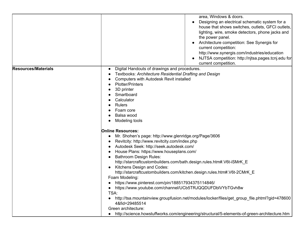|                            | area, Windows & doors.<br>Designing an electrical schematic system for a<br>house that shows switches, outlets, GFCI outlets,<br>lighting, wire, smoke detectors, phone jacks and<br>the power panel.<br>Architecture competition: See Synergis for<br>current competition:<br>http://www.synergis.com/industries/education<br>NJTSA competition: http://njtsa.pages.tcnj.edu for<br>current competition.                                                                                                                                                                                            |
|----------------------------|------------------------------------------------------------------------------------------------------------------------------------------------------------------------------------------------------------------------------------------------------------------------------------------------------------------------------------------------------------------------------------------------------------------------------------------------------------------------------------------------------------------------------------------------------------------------------------------------------|
| <b>Resources/Materials</b> | Digital Handouts of drawings and procedures.<br>Textbooks: Architecture Residential Drafting and Design<br><b>Computers with Autodesk Revit installed</b><br><b>Plotter/Printers</b><br>3D printer<br>Smartboard<br>Calculator<br><b>Rulers</b><br>Foam core<br>Balsa wood<br>Modeling tools<br><b>Online Resources:</b><br>Mr. Shohen's page: http://www.glenridge.org/Page/3606<br>Revitcity: http://www.revitcity.com/index.php<br>Autodesk Seek: http://seek.autodesk.com/<br>House Plans: https://www.houseplans.com/                                                                           |
|                            | <b>Bathroom Design Rules:</b><br>http://starcraftcustombuilders.com/bath.design.rules.htm#.V6t-iSMrK_E<br>Kitchens Design and Codes:<br>http://starcraftcustombuilders.com/kitchen.design.rules.htm#.V6t-2CMrK E<br>Foam Modeling:<br>https://www.pinterest.com/pin/188517934375114846/<br>https://www.youtube.com/channel/UCb5TRJQQDUFDblVYbTGvh8w<br>TSA:<br>http://tsa.mountainview.groupfusion.net/modules/locker/files/get_group_file.phtml?gid=478600<br>4&fid=29485514<br>Green architecture:<br>http://science.howstuffworks.com/engineering/structural/5-elements-of-green-architecture.htm |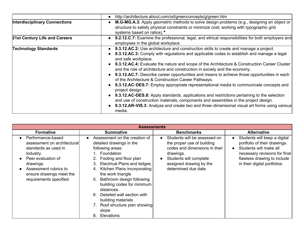|                                      | http://architecture.about.com/od/greenconcepts/g/green.htm                                                                                                                                                                                                                                                                                                                                                                                                                                                                                                                                                                                                                                                                                                                                                                                                                                                                                                         |  |  |
|--------------------------------------|--------------------------------------------------------------------------------------------------------------------------------------------------------------------------------------------------------------------------------------------------------------------------------------------------------------------------------------------------------------------------------------------------------------------------------------------------------------------------------------------------------------------------------------------------------------------------------------------------------------------------------------------------------------------------------------------------------------------------------------------------------------------------------------------------------------------------------------------------------------------------------------------------------------------------------------------------------------------|--|--|
| <b>Interdisciplinary Connections</b> | <b>M.G-MG.A.3:</b> Apply geometric methods to solve design problems (e.g., designing an object or<br>structure to satisfy physical constraints or minimize cost; working with typographic grid<br>systems based on ratios).*                                                                                                                                                                                                                                                                                                                                                                                                                                                                                                                                                                                                                                                                                                                                       |  |  |
| 21st Century Life and Careers        | <b>9.2.12.C.7:</b> Examine the professional, legal, and ethical responsibilities for both employers and<br>employees in the global workplace.                                                                                                                                                                                                                                                                                                                                                                                                                                                                                                                                                                                                                                                                                                                                                                                                                      |  |  |
| <b>Technology Standards</b>          | • 9.3.12.AC.2: Use architecture and construction skills to create and manage a project.<br>9.3.12.AC.3: Comply with regulations and applicable codes to establish and manage a legal<br>and safe workplace.<br><b>9.3.12.AC.4:</b> Evaluate the nature and scope of the Architecture & Construction Career Cluster<br>and the role of architecture and construction in society and the economy.<br>9.3.12.AC.7: Describe career opportunities and means to achieve those opportunities in each<br>of the Architecture & Construction Career Pathways.<br>9.3.12.AC-DES.7: Employ appropriate representational media to communicate concepts and<br>project design.<br>9.3.12.AC-DES.8: Apply standards, applications and restrictions pertaining to the selection<br>and use of construction materials, components and assemblies in the project design.<br>9.3.12.AR-VIS.3: Analyze and create two and three-dimensional visual art forms using various<br>media. |  |  |

| <b>Assessments</b>                                                                                                                                                                                       |                                                                                                                                                                                                                                                                                                                                                                                                                               |                                                                                                                                                                                                    |                                                                                                                                                                                        |
|----------------------------------------------------------------------------------------------------------------------------------------------------------------------------------------------------------|-------------------------------------------------------------------------------------------------------------------------------------------------------------------------------------------------------------------------------------------------------------------------------------------------------------------------------------------------------------------------------------------------------------------------------|----------------------------------------------------------------------------------------------------------------------------------------------------------------------------------------------------|----------------------------------------------------------------------------------------------------------------------------------------------------------------------------------------|
| <b>Formative</b>                                                                                                                                                                                         | <b>Summative</b>                                                                                                                                                                                                                                                                                                                                                                                                              | <b>Benchmarks</b>                                                                                                                                                                                  | <b>Alternative</b>                                                                                                                                                                     |
| Performance-based<br>assessment on architectural<br>standards as used in<br>industry.<br>Peer evaluation of<br>drawings.<br>Assessment rubrics to<br>ensure drawings meet the<br>requirements specified. | Assessment on the creation of<br>detailed drawings in the<br>following areas:<br>1. Foundation<br>2. Footing and floor plan<br>Electrical Plans and ledges.<br>3.<br>Kitchen Plans incorporating<br>4.<br>the work triangle<br>5. Bathroom design following<br>building codes for minimum<br>distances.<br>6. Detailed wall section with<br>building materials<br>7. Roof structure plan showing<br>slope<br>8.<br>Elevations | Students will be assessed on<br>$\bullet$<br>the proper use of building<br>codes and dimensions in their<br>drawings.<br>Students will complete<br>assigned drawing by the<br>determined due date. | Students will keep a digital<br>portfolio of their drawings.<br>Students will make all<br>necessary revisions for final<br>flawless drawing to include<br>in their digital portfolios. |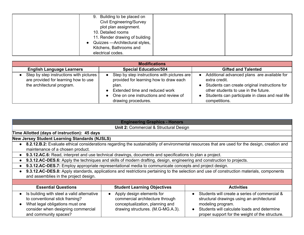| 9. Building to be placed on<br><b>Civil Engineering/Survey</b><br>plot plan assignment. |  |
|-----------------------------------------------------------------------------------------|--|
| 10. Detailed rooms<br>11. Render drawing of building                                    |  |
| Quizzes - Architectural styles,<br>Kitchens, Bathrooms and<br>electrical codes.         |  |

| <b>Modifications</b>                                                                                            |                                                                                                                                                                                                                 |                                                                                                                                                                                                                           |  |
|-----------------------------------------------------------------------------------------------------------------|-----------------------------------------------------------------------------------------------------------------------------------------------------------------------------------------------------------------|---------------------------------------------------------------------------------------------------------------------------------------------------------------------------------------------------------------------------|--|
| <b>English Language Learners</b>                                                                                | <b>Special Education/504</b>                                                                                                                                                                                    | <b>Gifted and Talented</b>                                                                                                                                                                                                |  |
| Step by step instructions with pictures I<br>are provided for learning how to use<br>the architectural program. | Step by step instructions with pictures are<br>provided for learning how to draw each<br>plan.<br>Extended time and reduced work<br>$\bullet$<br>• One on one instructions and review of<br>drawing procedures. | Additional advanced plans are available for<br>extra credit.<br>Students can create original instructions for<br>other students to use in the future.<br>Students can participate in class and real life<br>competitions. |  |

| <b>Engineering Graphics - Honors</b>                                                                                                                                           |                                                                                                                                      |                                                                                                                                                                                                                    |  |  |  |
|--------------------------------------------------------------------------------------------------------------------------------------------------------------------------------|--------------------------------------------------------------------------------------------------------------------------------------|--------------------------------------------------------------------------------------------------------------------------------------------------------------------------------------------------------------------|--|--|--|
|                                                                                                                                                                                | <b>Unit 2: Commercial &amp; Structural Design</b>                                                                                    |                                                                                                                                                                                                                    |  |  |  |
| Time Allotted (days of instruction): 45 days                                                                                                                                   |                                                                                                                                      |                                                                                                                                                                                                                    |  |  |  |
| New Jersey Student Learning Standards (NJSLS)                                                                                                                                  |                                                                                                                                      |                                                                                                                                                                                                                    |  |  |  |
|                                                                                                                                                                                |                                                                                                                                      | • 8.2.12.B.2: Evaluate ethical considerations regarding the sustainability of environmental resources that are used for the design, creation and                                                                   |  |  |  |
| maintenance of a chosen product.                                                                                                                                               |                                                                                                                                      |                                                                                                                                                                                                                    |  |  |  |
|                                                                                                                                                                                | 9.3.12.AC.6: Read, interpret and use technical drawings, documents and specifications to plan a project.                             |                                                                                                                                                                                                                    |  |  |  |
|                                                                                                                                                                                | 9.3.12.AC-DES.6: Apply the techniques and skills of modern drafting, design, engineering and construction to projects.               |                                                                                                                                                                                                                    |  |  |  |
| 9.3.12.AC-DES.7: Employ appropriate representational media to communicate concepts and project design.                                                                         |                                                                                                                                      |                                                                                                                                                                                                                    |  |  |  |
| 9.3.12.AC-DES.8: Apply standards, applications and restrictions pertaining to the selection and use of construction materials, components                                      |                                                                                                                                      |                                                                                                                                                                                                                    |  |  |  |
| and assemblies in the project design.                                                                                                                                          |                                                                                                                                      |                                                                                                                                                                                                                    |  |  |  |
|                                                                                                                                                                                |                                                                                                                                      |                                                                                                                                                                                                                    |  |  |  |
| <b>Essential Questions</b>                                                                                                                                                     | <b>Student Learning Objectives</b><br><b>Activities</b>                                                                              |                                                                                                                                                                                                                    |  |  |  |
| Is building with steel a valid alternative<br>to conventional stick framing?<br>What legal obligations must one<br>consider when designing commercial<br>and community spaces? | Apply design elements for<br>commercial architecture through<br>conceptualization, planning and<br>drawing structures. (M.G-MG.A.3). | Students will create a series of commercial &<br>structural drawings using an architectural<br>modeling program.<br>Students will calculate loads and determine<br>proper support for the weight of the structure. |  |  |  |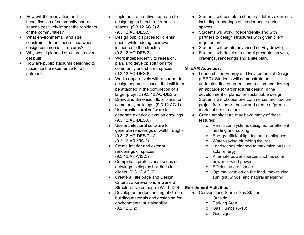| How will the renovation and<br>beautification of community-shared<br>spaces positively impact the residents<br>of the communities?<br>What environmental, and size<br>constraints do engineers face when<br>design commercial structures?<br>Why would planned structures never<br>get built?<br>How are public stadiums designed to | Students will complete structural details exercises<br>Implement a creative approach to<br>designing architecture for public<br>including renderings of interior and exterior<br>spaces. (9.3.12.AC.2) &<br>spaces.<br>$(9.3.12 \text{AC-DES.5})$<br>Students will work independently and with<br>$\bullet$<br>Design public spaces for clients'<br>partners to design structures with given client<br>needs while adding their own<br>requirements.<br>influence to the structure.<br>Students will create advanced survey drawings.<br>$\bullet$<br>$(9.3.12 \text{AC-DES}.3)$<br>Students will develop a model presentation with,<br>Work independently to research,<br>drawings, renderings and a site plan.<br>plan, and develop solutions for                                                                                                                                                                                                                                                                                                                                                                                                                                                                                                                                                                                                                                                                                                                                                                                                                                                                                                                                                                                                                                                                                                                                                                                                                                                                                                               |
|--------------------------------------------------------------------------------------------------------------------------------------------------------------------------------------------------------------------------------------------------------------------------------------------------------------------------------------|-------------------------------------------------------------------------------------------------------------------------------------------------------------------------------------------------------------------------------------------------------------------------------------------------------------------------------------------------------------------------------------------------------------------------------------------------------------------------------------------------------------------------------------------------------------------------------------------------------------------------------------------------------------------------------------------------------------------------------------------------------------------------------------------------------------------------------------------------------------------------------------------------------------------------------------------------------------------------------------------------------------------------------------------------------------------------------------------------------------------------------------------------------------------------------------------------------------------------------------------------------------------------------------------------------------------------------------------------------------------------------------------------------------------------------------------------------------------------------------------------------------------------------------------------------------------------------------------------------------------------------------------------------------------------------------------------------------------------------------------------------------------------------------------------------------------------------------------------------------------------------------------------------------------------------------------------------------------------------------------------------------------------------------------------------------------|
| maximize the experience for all<br>patrons?                                                                                                                                                                                                                                                                                          | community and shared spaces.<br><b>STEAM Activities:</b><br>$(9.3.12 \text{AC-DES.8})$<br>Leadership in Energy and Environmental Design<br>Work cooperatively with a partner to<br>(LEED): Students will demonstrate an<br>$\bullet$<br>design separate spaces that will later<br>understanding of green construction and develop<br>be attached in the completion of a<br>an aptitude for architectural design in the<br>larger project. (9.3.12.AC-DES.2)<br>development of plans, for sustainable design.<br>Draw, and dimension floor plans for<br>Students will choose one commercial architecture<br>community buildings. (9.3.12.AC.1)<br>project from the list below and create a "green"<br>Use architectural software to<br>model of the structure.<br>Green architecture may have many of these<br>generate exterior elevation drawings.<br>$(9.3.12 \text{AC-DES.6})$<br>features:<br>Use architectural software to<br>Ventilation systems designed for efficient<br>0<br>generate renderings of walkthroughs.<br>heating and cooling<br>(9.3.12.AC-DES.7) &<br>Energy-efficient lighting and appliances<br>0<br>Water-saving plumbing fixtures<br>$(9.3.12 \text{AR}-VIS.2)$<br>0<br>Create interior and exterior<br>Landscapes planned to maximize passive<br>0<br>renderings of spaces.<br>solar energy<br>$(9.3.12 \text{AR}-VIS.3)$<br>Alternate power sources such as solar<br>O<br>Complete a professional series of<br>power or wind power<br>drawings to display buildings for<br>Efficient use of space<br>0<br>clients. (9.3.12.AC.6)<br>Optimal location on the land, maximizing<br>0<br>Create a Title page and Design<br>sunlight, winds, and natural sheltering<br>Criteria, abbreviations & General<br>Structural Notes page. (W.11-12.4)<br><b>Enrichment Activities:</b><br>Develop an understanding of Green<br>Convenience Store / Gas Station:<br>$\bullet$<br>building materials and designing for<br>Outside:<br>environmental sustainability.<br>Parking Area<br>0<br>(8.2.12.B.2)<br>Gas Pumps (6-10)<br>0<br>Gas signs<br>0 |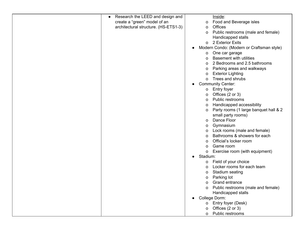| Research the LEED and design and<br>$\bullet$ | Inside:                                    |
|-----------------------------------------------|--------------------------------------------|
| create a "green" model of an                  | Food and Beverage isles<br>o               |
| architectural structure. (HS-ETS1-3)          | <b>Offices</b><br>0                        |
|                                               | Public restrooms (male and female)<br>0    |
|                                               | Handicapped stalls                         |
|                                               | o 2 Exterior Exits                         |
|                                               | Modern Condo: (Modern or Craftsman style)  |
|                                               | One car garage<br>$\mathsf{o}$             |
|                                               | <b>Basement with utilities</b><br>O        |
|                                               | 2 Bedrooms and 2.5 bathrooms<br>0          |
|                                               | Parking areas and walkways<br>o            |
|                                               | <b>Exterior Lighting</b><br>0              |
|                                               | Trees and shrubs<br>$\Omega$               |
|                                               | <b>Community Center:</b>                   |
|                                               | Entry foyer<br>0                           |
|                                               | Offices (2 or 3)<br>0                      |
|                                               | Public restrooms<br>0                      |
|                                               | Handicapped accessibility<br>0             |
|                                               | Party rooms (1 large banquet hall & 2<br>0 |
|                                               | small party rooms)                         |
|                                               | Dance Floor<br>0                           |
|                                               | Gymnasium<br>0                             |
|                                               | Lock rooms (male and female)<br>0          |
|                                               | Bathrooms & showers for each<br>0          |
|                                               | Official's locker room<br>o                |
|                                               | Game room<br>o                             |
|                                               | Exercise room (with equipment)<br>0        |
|                                               | Stadium:<br>$\bullet$                      |
|                                               | Field of your choice<br>$\mathsf{O}$       |
|                                               | Locker rooms for each team<br>0            |
|                                               | Stadium seating<br>o                       |
|                                               | Parking lot<br>o                           |
|                                               | Grand entrance<br>0                        |
|                                               | o Public restrooms (male and female)       |
|                                               | Handicapped stalls                         |
|                                               | College Dorm:                              |
|                                               | o Entry foyer (Desk)                       |
|                                               | Offices (2 or 3)<br>o                      |
|                                               | Public restrooms<br>$\Omega$               |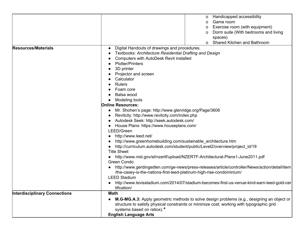|                                      | Handicapped accessibility<br>O                                                                          |  |  |
|--------------------------------------|---------------------------------------------------------------------------------------------------------|--|--|
|                                      | Game room<br>0                                                                                          |  |  |
|                                      | Exercise room (with equipment)<br>0                                                                     |  |  |
|                                      | Dorm suite (With bedrooms and living                                                                    |  |  |
|                                      | spaces)                                                                                                 |  |  |
|                                      | Shared Kitchen and Bathroom                                                                             |  |  |
| <b>Resources/Materials</b>           | Digital Handouts of drawings and procedures.                                                            |  |  |
|                                      | Textbooks: Architecture Residential Drafting and Design                                                 |  |  |
|                                      | Computers with AutoDesk Revit installed                                                                 |  |  |
|                                      | <b>Plotter/Printers</b>                                                                                 |  |  |
|                                      | 3D printer                                                                                              |  |  |
|                                      | Projector and screen                                                                                    |  |  |
|                                      | Calculator                                                                                              |  |  |
|                                      | <b>Rulers</b>                                                                                           |  |  |
|                                      | Foam core                                                                                               |  |  |
|                                      | Balsa wood                                                                                              |  |  |
|                                      | Modeling tools                                                                                          |  |  |
|                                      | <b>Online Resources:</b>                                                                                |  |  |
|                                      | Mr. Shohen's page: http://www.glenridge.org/Page/3606                                                   |  |  |
|                                      | Revitcity: http://www.revitcity.com/index.php                                                           |  |  |
|                                      | Autodesk Seek: http://seek.autodesk.com/                                                                |  |  |
|                                      | House Plans: https://www.houseplans.com/                                                                |  |  |
|                                      | LEED/Green                                                                                              |  |  |
|                                      | http://www.leed.net/                                                                                    |  |  |
|                                      | http://www.greenhomebuilding.com/sustainable_architecture.htm                                           |  |  |
|                                      | http://curriculum.autodesk.com/student/public/Level2/overview/project_id/19                             |  |  |
|                                      | <b>Title Sheet</b>                                                                                      |  |  |
|                                      | http://www.nist.gov/el/nzertf/upload/NZERTF-Architectural-Plans1-June2011.pdf                           |  |  |
|                                      | Green Condo                                                                                             |  |  |
|                                      | http://www.gerdingedlen.com/ge-news/press-releases/article/controller/News/action/detail/item           |  |  |
|                                      | /the-casey-is-the-nations-first-leed-platinum-high-rise-condominium/                                    |  |  |
|                                      | <b>LEED Stadium</b>                                                                                     |  |  |
|                                      | http://www.levisstadium.com/2014/07/stadium-becomes-first-us-venue-kind-earn-leed-gold-cer              |  |  |
|                                      | tification/                                                                                             |  |  |
| <b>Interdisciplinary Connections</b> | <b>Math</b>                                                                                             |  |  |
|                                      | M.G-MG.A.3: Apply geometric methods to solve design problems (e.g., designing an object or<br>$\bullet$ |  |  |
|                                      | structure to satisfy physical constraints or minimize cost; working with typographic grid               |  |  |
|                                      | systems based on ratios).*                                                                              |  |  |
|                                      | <b>English Language Arts</b>                                                                            |  |  |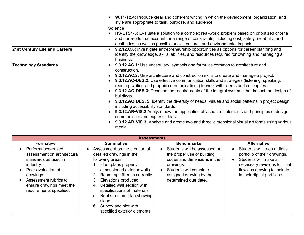|                               | • W.11-12.4: Produce clear and coherent writing in which the development, organization, and<br>style are appropriate to task, purpose, and audience.                                                                                                                                                                                                                                                                                                                                                                                                                                                                                                                                                                                                                                                                                                                               |
|-------------------------------|------------------------------------------------------------------------------------------------------------------------------------------------------------------------------------------------------------------------------------------------------------------------------------------------------------------------------------------------------------------------------------------------------------------------------------------------------------------------------------------------------------------------------------------------------------------------------------------------------------------------------------------------------------------------------------------------------------------------------------------------------------------------------------------------------------------------------------------------------------------------------------|
|                               | <b>Science</b><br><b>HS-ETS1-3:</b> Evaluate a solution to a complex real-world problem based on prioritized criteria<br>and trade-offs that account for a range of constraints, including cost, safety, reliability, and<br>aesthetics, as well as possible social, cultural, and environmental impacts.                                                                                                                                                                                                                                                                                                                                                                                                                                                                                                                                                                          |
| 21st Century Life and Careers | 9.2.12.C.6: Investigate entrepreneurship opportunities as options for career planning and<br>identify the knowledge, skills, abilities, and resources required for owning and managing a<br>business.                                                                                                                                                                                                                                                                                                                                                                                                                                                                                                                                                                                                                                                                              |
| <b>Technology Standards</b>   | 9.3.12.AC.1: Use vocabulary, symbols and formulas common to architecture and<br>construction.<br><b>9.3.12.AC.2:</b> Use architecture and construction skills to create and manage a project.<br>9.3.12.AC-DES.2: Use effective communication skills and strategies (listening, speaking,<br>reading, writing and graphic communications) to work with clients and colleagues.<br>9.3.12.AC-DES.3: Describe the requirements of the integral systems that impact the design of<br>buildings.<br>9.3.12.AC-DES. 5: Identify the diversity of needs, values and social patterns in project design,<br>including accessibility standards.<br>9.3.12.AR-VIS.2 Analyze how the application of visual arts elements and principles of design<br>communicate and express ideas.<br>9.3.12.AR-VIS.3: Analyze and create two and three-dimensional visual art forms using various<br>media. |

| <b>Assessments</b>                                                                                                                                                                                       |                                                                                                                                                                                                                                                                                                                                                                                 |                                                                                                                                                                                       |                                                                                                                                                                                        |
|----------------------------------------------------------------------------------------------------------------------------------------------------------------------------------------------------------|---------------------------------------------------------------------------------------------------------------------------------------------------------------------------------------------------------------------------------------------------------------------------------------------------------------------------------------------------------------------------------|---------------------------------------------------------------------------------------------------------------------------------------------------------------------------------------|----------------------------------------------------------------------------------------------------------------------------------------------------------------------------------------|
| <b>Formative</b>                                                                                                                                                                                         | <b>Summative</b>                                                                                                                                                                                                                                                                                                                                                                | <b>Benchmarks</b>                                                                                                                                                                     | <b>Alternative</b>                                                                                                                                                                     |
| Performance-based<br>assessment on architectural<br>standards as used in<br>industry.<br>Peer evaluation of<br>drawings.<br>Assessment rubrics to<br>ensure drawings meet the<br>requirements specified. | Assessment on the creation of<br>detailed drawings in the<br>following areas:<br>1. Floor plans properly<br>dimensioned exterior walls<br>2. Room tags filled in correctly<br>Elevations produced<br>3.<br>Detailed wall section with<br>4.<br>specifications of materials<br>5. Roof structure plan showing<br>slope<br>6. Survey and plot with<br>specified exterior elements | Students will be assessed on<br>the proper use of building<br>codes and dimensions in their<br>drawings.<br>Students will complete<br>assigned drawing by the<br>determined due date. | Students will keep a digital<br>portfolio of their drawings.<br>Students will make all<br>necessary revisions for final<br>flawless drawing to include<br>in their digital portfolios. |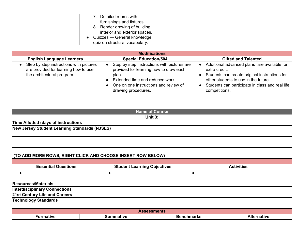| Detailed rooms with            |  |
|--------------------------------|--|
| furnishings and fixtures       |  |
| 8. Render drawing of building  |  |
| interior and exterior spaces.  |  |
| Quizzes — General knowledge    |  |
| quiz on structural vocabulary. |  |

| <b>Modifications</b>                                                                                                       |                                                                                                                                                                                                                              |                                                                                                                                                                                                                           |  |
|----------------------------------------------------------------------------------------------------------------------------|------------------------------------------------------------------------------------------------------------------------------------------------------------------------------------------------------------------------------|---------------------------------------------------------------------------------------------------------------------------------------------------------------------------------------------------------------------------|--|
| <b>English Language Learners</b>                                                                                           | <b>Special Education/504</b>                                                                                                                                                                                                 | <b>Gifted and Talented</b>                                                                                                                                                                                                |  |
| Step by step instructions with pictures<br>$\bullet$<br>are provided for learning how to use<br>the architectural program. | Step by step instructions with pictures are  <br>provided for learning how to draw each<br>plan.<br>Extended time and reduced work<br>$\bullet$<br>One on one instructions and review of<br>$\bullet$<br>drawing procedures. | Additional advanced plans are available for<br>extra credit.<br>Students can create original instructions for<br>other students to use in the future.<br>Students can participate in class and real life<br>competitions. |  |

| <b>Name of Course</b>                                       |                                    |                   |  |  |
|-------------------------------------------------------------|------------------------------------|-------------------|--|--|
|                                                             | Unit 3:                            |                   |  |  |
| Time Allotted (days of instruction):                        |                                    |                   |  |  |
| New Jersey Student Learning Standards (NJSLS)               |                                    |                   |  |  |
|                                                             |                                    |                   |  |  |
|                                                             |                                    |                   |  |  |
|                                                             |                                    |                   |  |  |
|                                                             |                                    |                   |  |  |
| (TO ADD MORE ROWS, RIGHT CLICK AND CHOOSE INSERT ROW BELOW) |                                    |                   |  |  |
|                                                             |                                    |                   |  |  |
| <b>Essential Questions</b>                                  | <b>Student Learning Objectives</b> | <b>Activities</b> |  |  |
| $\bullet$                                                   |                                    | $\bullet$         |  |  |
|                                                             |                                    |                   |  |  |
| <b>Resources/Materials</b>                                  |                                    |                   |  |  |
| <b>Interdisciplinary Connections</b>                        |                                    |                   |  |  |
| 21st Century Life and Careers                               |                                    |                   |  |  |
| <b>Technology Standards</b>                                 |                                    |                   |  |  |

| ASS.<br>ssments                                                   |  |  |  |
|-------------------------------------------------------------------|--|--|--|
| Alternative<br>Formative<br><b>Benchmarks</b><br>iummativc<br>лге |  |  |  |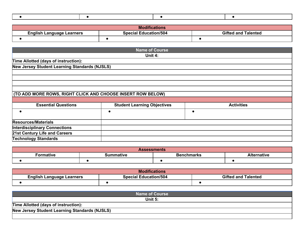|--|

| <b>Modifications</b>             |                              |                            |  |
|----------------------------------|------------------------------|----------------------------|--|
| <b>English Language Learners</b> | <b>Special Education/504</b> | <b>Gifted and Talented</b> |  |
|                                  |                              |                            |  |

|                                                             | Name of Course                     |                   |
|-------------------------------------------------------------|------------------------------------|-------------------|
|                                                             | Unit 4:                            |                   |
| Time Allotted (days of instruction):                        |                                    |                   |
| New Jersey Student Learning Standards (NJSLS)               |                                    |                   |
|                                                             |                                    |                   |
|                                                             |                                    |                   |
|                                                             |                                    |                   |
|                                                             |                                    |                   |
| (TO ADD MORE ROWS, RIGHT CLICK AND CHOOSE INSERT ROW BELOW) |                                    |                   |
|                                                             |                                    |                   |
| <b>Essential Questions</b>                                  | <b>Student Learning Objectives</b> | <b>Activities</b> |
| $\bullet$                                                   |                                    | О                 |
| <b>Resources/Materials</b>                                  |                                    |                   |
| <b>Interdisciplinary Connections</b>                        |                                    |                   |
| 21st Century Life and Careers                               |                                    |                   |
| <b>Technology Standards</b>                                 |                                    |                   |

| <b>Assessments</b>                                                            |  |  |  |  |
|-------------------------------------------------------------------------------|--|--|--|--|
| <b>Benchmarks</b><br><b>N</b> te<br>ternative<br>Formative<br><b>ummative</b> |  |  |  |  |
|                                                                               |  |  |  |  |

| <b>Modifications</b>                                                                    |  |  |  |
|-----------------------------------------------------------------------------------------|--|--|--|
| <b>Gifted and Talented</b><br><b>Special Education/504</b><br>English Language Learners |  |  |  |
|                                                                                         |  |  |  |

| <b>Name of Course</b>                         |  |
|-----------------------------------------------|--|
| Unit $5:$                                     |  |
| Time Allotted (days of instruction):          |  |
| New Jersey Student Learning Standards (NJSLS) |  |
|                                               |  |